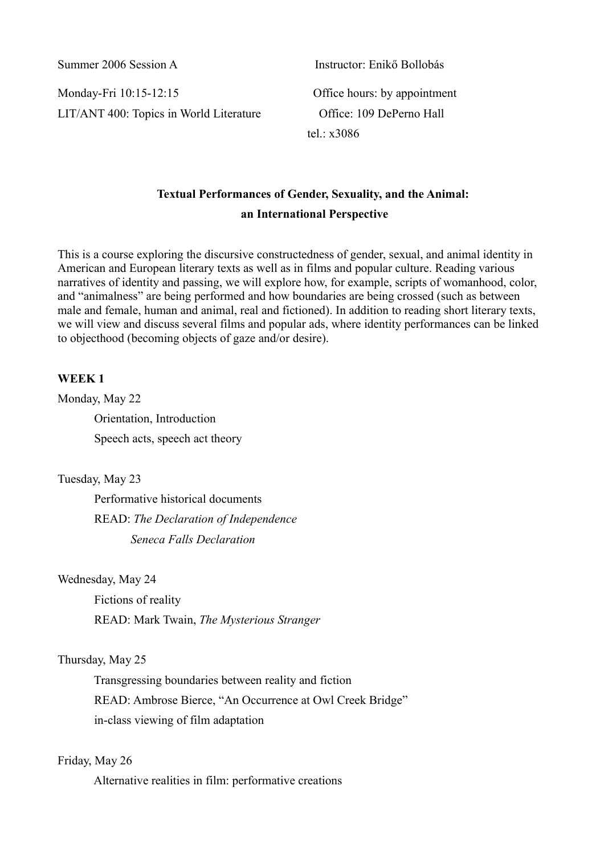Summer 2006 Session A Instructor: Enikő Bollobás

Monday-Fri 10:15-12:15 Office hours: by appointment LIT/ANT 400: Topics in World Literature Office: 109 DePerno Hall

tel. $\cdot$  x3086

# **Textual Performances of Gender, Sexuality, and the Animal: an International Perspective**

This is a course exploring the discursive constructedness of gender, sexual, and animal identity in American and European literary texts as well as in films and popular culture. Reading various narratives of identity and passing, we will explore how, for example, scripts of womanhood, color, and "animalness" are being performed and how boundaries are being crossed (such as between male and female, human and animal, real and fictioned). In addition to reading short literary texts, we will view and discuss several films and popular ads, where identity performances can be linked to objecthood (becoming objects of gaze and/or desire).

# **WEEK 1**

Monday, May 22 Orientation, Introduction

Speech acts, speech act theory

Tuesday, May 23

Performative historical documents READ: *The Declaration of Independence Seneca Falls Declaration*

Wednesday, May 24

Fictions of reality READ: Mark Twain, *The Mysterious Stranger*

# Thursday, May 25

Transgressing boundaries between reality and fiction READ: Ambrose Bierce, "An Occurrence at Owl Creek Bridge" in-class viewing of film adaptation

# Friday, May 26

Alternative realities in film: performative creations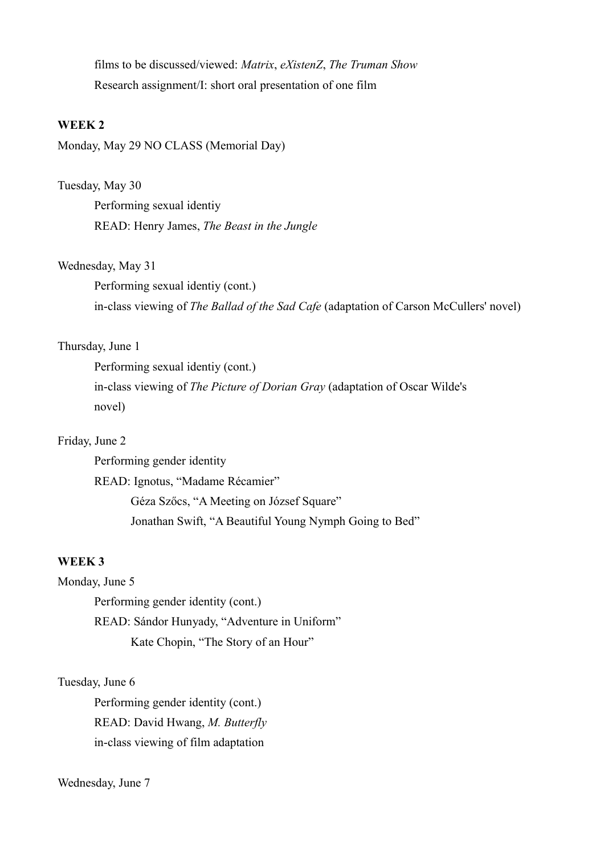films to be discussed/viewed: *Matrix*, *eXistenZ*, *The Truman Show* Research assignment/I: short oral presentation of one film

#### **WEEK 2**

Monday, May 29 NO CLASS (Memorial Day)

### Tuesday, May 30

Performing sexual identiy READ: Henry James, *The Beast in the Jungle*

### Wednesday, May 31

Performing sexual identiy (cont.) in-class viewing of *The Ballad of the Sad Cafe* (adaptation of Carson McCullers' novel)

# Thursday, June 1

Performing sexual identiy (cont.) in-class viewing of *The Picture of Dorian Gray* (adaptation of Oscar Wilde's novel)

### Friday, June 2

Performing gender identity READ: Ignotus, "Madame Récamier" Géza Szőcs, "A Meeting on József Square" Jonathan Swift, "A Beautiful Young Nymph Going to Bed"

### **WEEK 3**

Monday, June 5

Performing gender identity (cont.) READ: Sándor Hunyady, "Adventure in Uniform" Kate Chopin, "The Story of an Hour"

#### Tuesday, June 6

Performing gender identity (cont.) READ: David Hwang, *M. Butterfly* in-class viewing of film adaptation

### Wednesday, June 7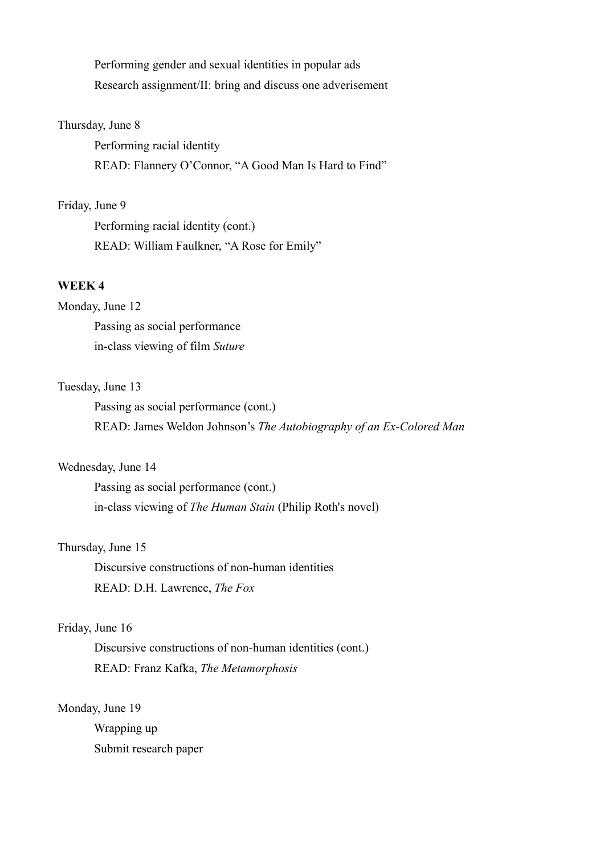Performing gender and sexual identities in popular ads Research assignment/II: bring and discuss one adverisement

#### Thursday, June 8

Performing racial identity READ: Flannery O'Connor, "A Good Man Is Hard to Find"

# Friday, June 9

Performing racial identity (cont.) READ: William Faulkner, "A Rose for Emily"

# **WEEK 4**

#### Monday, June 12

Passing as social performance in-class viewing of film *Suture*

### Tuesday, June 13

Passing as social performance (cont.) READ: James Weldon Johnson's *The Autobiography of an Ex-Colored Man*

# Wednesday, June 14

Passing as social performance (cont.) in-class viewing of *The Human Stain* (Philip Roth's novel)

### Thursday, June 15

Discursive constructions of non-human identities READ: D.H. Lawrence, *The Fox*

# Friday, June 16

Discursive constructions of non-human identities (cont.) READ: Franz Kafka, *The Metamorphosis*

### Monday, June 19

Wrapping up Submit research paper